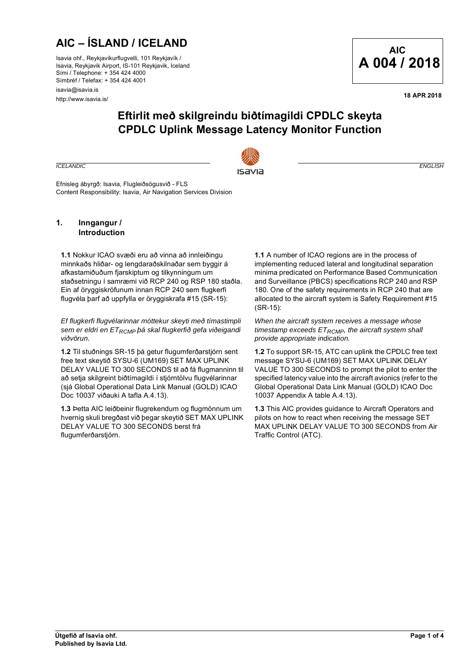# **AIC – ÍSLAND / ICELAND AIC**

Isavia ohf., Reykjavíkurflugvelli, 101 Reykjavík / Isavia, Reykjavik Airport, IS-101 Reykjavik, Iceland Sími / Telephone: + 354 424 4000 Símbréf / Telefax: + 354 424 4001

isavia@isavia.is http://www.isavia.is/



**18 APR 2018**

# **Eftirlit með skilgreindu biðtímagildi CPDLC skeyta CPDLC Uplink Message Latency Monitor Function**



Efnisleg ábyrgð: Isavia, Flugleiðsögusvið - FLS Content Responsibility: Isavia, Air Navigation Services Division

#### **1. Inngangur / Introduction**

**1.1** Nokkur ICAO svæði eru að vinna að innleiðingu minnkaðs hliðar- og lengdaraðskilnaðar sem byggir á afkastamiðuðum fjarskiptum og tilkynningum um staðsetningu í samræmi við RCP 240 og RSP 180 staðla. Ein af öryggiskröfunum innan RCP 240 sem flugkerfi flugvéla þarf að uppfylla er öryggiskrafa #15 (SR-15):

*Ef flugkerfi flugvélarinnar móttekur skeyti með tímastimpli*  sem er eldri en ET<sub>RCMP</sub> þá skal flugkerfið gefa viðeigandi *viðvörun.*

**1.2** Til stuðnings SR-15 þá getur flugumferðarstjórn sent free text skeytið SYSU-6 (UM169) SET MAX UPLINK DELAY VALUE TO 300 SECONDS til að fá flugmanninn til að setja skilgreint biðtímagildi í stjórntölvu flugvélarinnar (sjá Global Operational Data Link Manual (GOLD) ICAO Doc 10037 viðauki A tafla A.4.13).

**1.3** Þetta AIC leiðbeinir flugrekendum og flugmönnum um hvernig skuli bregðast við þegar skeytið SET MAX UPLINK DELAY VALUE TO 300 SECONDS berst frá flugumferðarstjórn.

**1.1** A number of ICAO regions are in the process of implementing reduced lateral and longitudinal separation minima predicated on Performance Based Communication and Surveillance (PBCS) specifications RCP 240 and RSP 180. One of the safety requirements in RCP 240 that are allocated to the aircraft system is Safety Requirement #15 (SR-15):

*When the aircraft system receives a message whose timestamp exceeds ET<sub>RCMP</sub>, the aircraft system shall provide appropriate indication.*

**1.2** To support SR-15, ATC can uplink the CPDLC free text message SYSU-6 (UM169) SET MAX UPLINK DELAY VALUE TO 300 SECONDS to prompt the pilot to enter the specified latency value into the aircraft avionics (refer to the Global Operational Data Link Manual (GOLD) ICAO Doc 10037 Appendix A table A.4.13).

**1.3** This AIC provides guidance to Aircraft Operators and pilots on how to react when receiving the message SET MAX UPLINK DELAY VALUE TO 300 SECONDS from Air Traffic Control (ATC).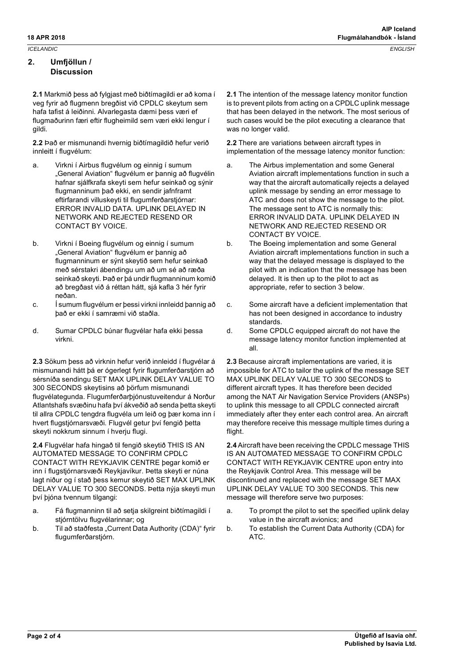*ICELANDIC ENGLISH*

## **2. Umfjöllun / Discussion**

**2.1** Markmið þess að fylgjast með biðtímagildi er að koma í veg fyrir að flugmenn bregðist við CPDLC skeytum sem hafa tafist á leiðinni. Alvarlegasta dæmi þess væri ef flugmaðurinn færi eftir flugheimild sem væri ekki lengur í gildi.

**2.2** Það er mismunandi hvernig biðtímagildið hefur verið innleitt í flugvélum:

- a. Virkni í Airbus flugvélum og einnig í sumum "General Aviation" flugvélum er bannig að flugvélin hafnar sjálfkrafa skeyti sem hefur seinkað og sýnir flugmanninum það ekki, en sendir jafnframt eftirfarandi villuskeyti til flugumferðarstjórnar: ERROR INVALID DATA. UPLINK DELAYED IN NETWORK AND REJECTED RESEND OR CONTACT BY VOICE.
- b. Virkni í Boeing flugvélum og einnig í sumum "General Aviation" flugvélum er þannig að flugmanninum er sýnt skeytið sem hefur seinkað með sérstakri ábendingu um að um sé að ræða seinkað skeyti. Það er þá undir flugmanninum komið að bregðast við á réttan hátt, sjá kafla 3 hér fyrir neðan.
- c. Í sumum flugvélum er þessi virkni innleidd þannig að það er ekki í samræmi við staðla.
- d. Sumar CPDLC búnar flugvélar hafa ekki þessa virkni.

**2.3** Sökum þess að virknin hefur verið innleidd í flugvélar á mismunandi hátt þá er ógerlegt fyrir flugumferðarstjórn að sérsníða sendingu SET MAX UPLINK DELAY VALUE TO 300 SECONDS skeytisins að þörfum mismunandi flugvélategunda. Flugumferðarþjónustuveitendur á Norður Atlantshafs svæðinu hafa því ákveðið að senda þetta skeyti til allra CPDLC tengdra flugvéla um leið og þær koma inn í hvert flugstjórnarsvæði. Flugvél getur því fengið þetta skeyti nokkrum sinnum í hverju flugi.

**2.4** Flugvélar hafa hingað til fengið skeytið THIS IS AN AUTOMATED MESSAGE TO CONFIRM CPDLC CONTACT WITH REYKJAVIK CENTRE þegar komið er inn í flugstjórnarsvæði Reykjavíkur. Þetta skeyti er núna lagt niður og í stað þess kemur skeytið SET MAX UPLINK DELAY VALUE TO 300 SECONDS. Þetta nýja skeyti mun því þjóna tvennum tilgangi:

- a. Fá flugmanninn til að setja skilgreint biðtímagildi í stjórntölvu flugvélarinnar; og
- b. Til að staðfesta "Current Data Authority (CDA)" fyrir flugumferðarstjórn.

**2.1** The intention of the message latency monitor function is to prevent pilots from acting on a CPDLC uplink message that has been delayed in the network. The most serious of such cases would be the pilot executing a clearance that was no longer valid.

**2.2** There are variations between aircraft types in implementation of the message latency monitor function:

- a. The Airbus implementation and some General Aviation aircraft implementations function in such a way that the aircraft automatically rejects a delayed uplink message by sending an error message to ATC and does not show the message to the pilot. The message sent to ATC is normally this: ERROR INVALID DATA. UPLINK DELAYED IN NETWORK AND REJECTED RESEND OR CONTACT BY VOICE.
- b. The Boeing implementation and some General Aviation aircraft implementations function in such a way that the delayed message is displayed to the pilot with an indication that the message has been delayed. It is then up to the pilot to act as appropriate, refer to section 3 below.
- c. Some aircraft have a deficient implementation that has not been designed in accordance to industry standards.
- d. Some CPDLC equipped aircraft do not have the message latency monitor function implemented at all.

**2.3** Because aircraft implementations are varied, it is impossible for ATC to tailor the uplink of the message SET MAX UPLINK DELAY VALUE TO 300 SECONDS to different aircraft types. It has therefore been decided among the NAT Air Navigation Service Providers (ANSPs) to uplink this message to all CPDLC connected aircraft immediately after they enter each control area. An aircraft may therefore receive this message multiple times during a flight.

**2.4** Aircraft have been receiving the CPDLC message THIS IS AN AUTOMATED MESSAGE TO CONFIRM CPDLC CONTACT WITH REYKJAVIK CENTRE upon entry into the Reykjavik Control Area. This message will be discontinued and replaced with the message SET MAX UPLINK DELAY VALUE TO 300 SECONDS. This new message will therefore serve two purposes:

- a. To prompt the pilot to set the specified uplink delay value in the aircraft avionics; and b. To establish the Current Data Authority (CDA) for
	- ATC.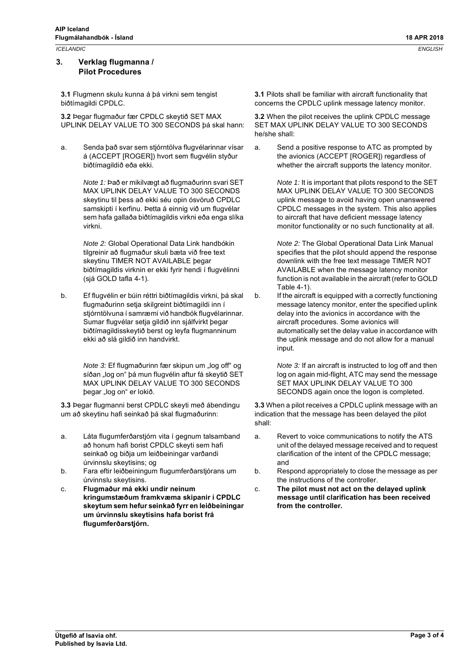*ICELANDIC ENGLISH*

#### **3. Verklag flugmanna / Pilot Procedures**

**3.1** Flugmenn skulu kunna á þá virkni sem tengist biðtímagildi CPDLC.

**3.2** Þegar flugmaður fær CPDLC skeytið SET MAX UPLINK DELAY VALUE TO 300 SECONDS þá skal hann:

a. Senda það svar sem stjórntölva flugvélarinnar vísar á (ACCEPT [ROGER]) hvort sem flugvélin styður biðtímagildið eða ekki.

> *Note 1:* Það er mikilvægt að flugmaðurinn svari SET MAX UPLINK DELAY VALUE TO 300 SECONDS skeytinu til þess að ekki séu opin ósvöruð CPDLC samskipti í kerfinu. Þetta á einnig við um flugvélar sem hafa gallaða biðtímagildis virkni eða enga slíka virkni.

*Note 2:* Global Operational Data Link handbókin tilgreinir að flugmaður skuli bæta við free text skeytinu TIMER NOT AVAILABLE þegar biðtímagildis virknin er ekki fyrir hendi í flugvélinni (sjá GOLD tafla 4-1).

b. Ef flugvélin er búin réttri biðtímagildis virkni, þá skal flugmaðurinn setja skilgreint biðtímagildi inn í stjórntölvuna í samræmi við handbók flugvélarinnar. Sumar flugvélar setja gildið inn sjálfvirkt þegar biðtímagildisskeytið berst og leyfa flugmanninum ekki að slá gildið inn handvirkt.

> *Note 3:* Ef flugmaðurinn fær skipun um "log off" og síðan "log on" þá mun flugvélin aftur fá skeytið SET MAX UPLINK DELAY VALUE TO 300 SECONDS þegar "log on" er lokið.

**3.3** Þegar flugmanni berst CPDLC skeyti með ábendingu um að skeytinu hafi seinkað þá skal flugmaðurinn:

- a. Láta flugumferðarstjórn vita í gegnum talsamband að honum hafi borist CPDLC skeyti sem hafi seinkað og biðja um leiðbeiningar varðandi úrvinnslu skeytisins; og
- b. Fara eftir leiðbeiningum flugumferðarstjórans um úrvinnslu skeytisins.
- c. **Flugmaður má ekki undir neinum kringumstæðum framkvæma skipanir í CPDLC skeytum sem hefur seinkað fyrr en leiðbeiningar um úrvinnslu skeytisins hafa borist frá flugumferðarstjórn.**

**3.1** Pilots shall be familiar with aircraft functionality that concerns the CPDLC uplink message latency monitor.

**3.2** When the pilot receives the uplink CPDLC message SET MAX UPLINK DELAY VALUE TO 300 SECONDS he/she shall:

a. Send a positive response to ATC as prompted by the avionics (ACCEPT [ROGER]) regardless of whether the aircraft supports the latency monitor.

> *Note 1:* It is important that pilots respond to the SET MAX UPLINK DELAY VALUE TO 300 SECONDS uplink message to avoid having open unanswered CPDLC messages in the system. This also applies to aircraft that have deficient message latency monitor functionality or no such functionality at all.

> *Note 2:* The Global Operational Data Link Manual specifies that the pilot should append the response downlink with the free text message TIMER NOT AVAILABLE when the message latency monitor function is not available in the aircraft (refer to GOLD Table 4-1).

b. If the aircraft is equipped with a correctly functioning message latency monitor, enter the specified uplink delay into the avionics in accordance with the aircraft procedures. Some avionics will automatically set the delay value in accordance with the uplink message and do not allow for a manual input.

> *Note 3:* If an aircraft is instructed to log off and then log on again mid-flight, ATC may send the message SET MAX UPLINK DELAY VALUE TO 300 SECONDS again once the logon is completed.

**3.3** When a pilot receives a CPDLC uplink message with an indication that the message has been delayed the pilot shall:

- a. Revert to voice communications to notify the ATS unit of the delayed message received and to request clarification of the intent of the CPDLC message; and
- b. Respond appropriately to close the message as per the instructions of the controller.
- c. **The pilot must not act on the delayed uplink message until clarification has been received from the controller.**